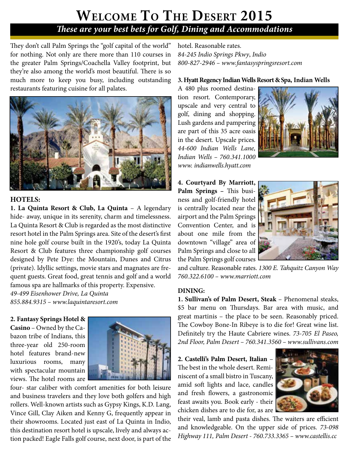# **Welcome To The Desert 2015** *These are your best bets for Golf, Dining and Accommodations*

They don't call Palm Springs the "golf capital of the world" for nothing. Not only are there more than 110 courses in the greater Palm Springs/Coachella Valley footprint, but they're also among the world's most beautiful. There is so much more to keep you busy, including outstanding restaurants featuring cuisine for all palates.



## **HOTELS:**

**1. La Quinta Resort & Club, La Quinta** – A legendary hide- away, unique in its serenity, charm and timelessness. La Quinta Resort & Club is regarded as the most distinctive resort hotel in the Palm Springs area. Site of the desert's first nine hole golf course built in the 1920's, today La Quinta Resort & Club features three championship golf courses designed by Pete Dye: the Mountain, Dunes and Citrus (private). Idyllic settings, movie stars and magnates are frequent guests. Great food, great tennis and golf and a world famous spa are hallmarks of this property. Expensive.

*49-499 Eisenhower Drive, La Quinta 855.884.9315 – www.laquintaresort.com*

**2. Fantasy Springs Hotel &** 

**Casino** – Owned by the Cabazon tribe of Indians, this three-year old 250-room hotel features brand-new luxurious rooms, many with spectacular mountain views. The hotel rooms are



four- star caliber with comfort amenities for both leisure and business travelers and they love both golfers and high rollers. Well-known artists such as Gypsy Kings, K.D. Lang, Vince Gill, Clay Aiken and Kenny G, frequently appear in their showrooms. Located just east of La Quinta in Indio, this destination resort hotel is upscale, lively and always action packed! Eagle Falls golf course, next door, is part of the hotel. Reasonable rates. *84-245 Indio Springs Pkwy*, *Indio 800-827-2946 – www.fantasyspringsresort.com*

#### **3. Hyatt Regency Indian Wells Resort & Spa, Indian Wells**

A 480 plus roomed destination resort. Contemporary, upscale and very central to golf, dining and shopping. Lush gardens and pampering are part of this 35 acre oasis in the desert. Upscale prices. *44-600 Indian Wells Lane, Indian Wells – 760.341.1000 www. indianwells.hyatt.com* 



**4. Courtyard By Marriott, Palm Springs –** This business and golf-friendly hotel is centrally located near the airport and the Palm Springs Convention Center, and is about one mile from the downtown "village" area of Palm Springs and close to all the Palm Springs golf courses



and culture. Reasonable rates. *1300 E. Tahquitz Canyon Way 760.322.6100 – www.marriott.com*

#### **DINING:**

**1. Sullivan's of Palm Desert, Steak** – Phenomenal steaks, \$5 bar menu on Thursdays. Bar area with music, and great martinis – the place to be seen. Reasonably priced. The Cowboy Bone-In Ribeye is to die for! Great wine list. Definitely try the Haute Cabriere wines. *73-705 El Paseo, 2nd Floor, Palm Desert – 760.341.3560 – www.sullivans.com*

**2. Castelli's Palm Desert, Italian** – The best in the whole desert. Reminiscent of a small bistro in Tuscany, amid soft lights and lace, candles and fresh flowers, a gastronomic feast awaits you. Book early - their chicken dishes are to die for, as are



their veal, lamb and pasta dishes. The waiters are efficient and knowledgeable. On the upper side of prices. *73-098 Highway 111, Palm Desert - 760.733.3365 – www.castellis.cc*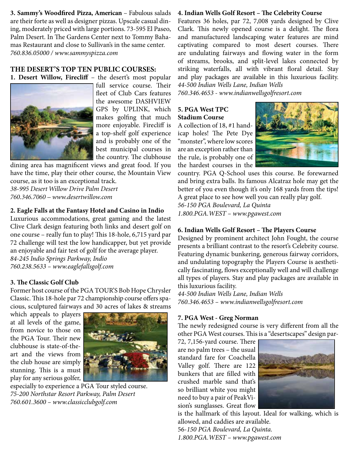**3. Sammy's Woodfired Pizza, American** – Fabulous salads are their forte as well as designer pizzas. Upscale casual dining, moderately priced with large portions. 73-595 El Paseo, Palm Desert. In The Gardens Center next to Tommy Bahamas Restaurant and close to Sullivan's in the same center. *760.836.05000 / www.sammyspizza.com*

## **THE DESERT'S TOP TEN PUBLIC COURSES:**

**1. Desert Willow, Firecliff** – the desert's most popular



full service course. Their fleet of Club Cars features the awesome DASHVIEW GPS by UPLINK, which makes golfing that much more enjoyable. Firecliff is a top-shelf golf experience and is probably one of the best municipal courses in the country. The clubhouse

dining area has magnificent views and great food. If you have the time, play their other course, the Mountain View course, as it too is an exceptional track.

*38-995 Desert Willow Drive Palm Desert 760.346.7060 – www.desertwillow.com*

## **2. Eagle Falls at the Fantasy Hotel and Casino in Indio**

Luxurious accommodations, great gaming and the latest Clive Clark design featuring both links and desert golf on one course – really fun to play! This 18-hole, 6,715 yard par 72 challenge will test the low handicapper, but yet provide an enjoyable and fair test of golf for the average player. *84-245 Indio Springs Parkway, Indio 760.238.5633 – www.eaglefallsgolf.com*

## **3. The Classic Golf Club**

Former host course of the PGA TOUR'S Bob Hope Chrysler Classic. This 18-hole par 72 championship course offers spacious, sculptured fairways and 30 acres of lakes & streams

which appeals to players at all levels of the game, from novice to those on the PGA Tour. Their new clubhouse is state-of-theart and the views from the club house are simply stunning. This is a must play for any serious golfer,



especially to experience a PGA Tour styled course. *75-200 Northstar Resort Parkway, Palm Desert 760.601.3600 – www.classicclubgolf.com*

## **4. Indian Wells Golf Resort – The Celebrity Course**

Features 36 holes, par 72, 7,008 yards designed by Clive Clark. This newly opened course is a delight. The flora and manufactured landscaping water features are mind captivating compared to most desert courses. There are undulating fairways and flowing water in the form of streams, brooks, and split-level lakes connected by striking waterfalls, all with vibrant floral detail. Stay and play packages are available in this luxurious facility. *44-500 Indian Wells Lane, Indian Wells*

*760.346.4653 - www.indianwellsgolfresort.com*

## **5. PGA West TPC Stadium Course**

A collection of 18, #1 handicap holes! The Pete Dye "monster", where low scores are an exception rather than the rule, is probably one of the hardest courses in the



country. PGA Q-School uses this course. Be forewarned and bring extra balls. Its famous Alcatraz hole may get the better of you even though it's only 168 yards from the tips! A great place to see how well you can really play golf. *56-150 PGA Boulevard, La Quinta 1.800.PGA.WEST – www.pgawest.com*

## **6. Indian Wells Golf Resort – The Players Course**

Designed by prominent architect John Fought, the course presents a brilliant contrast to the resort's Celebrity course. Featuring dynamic bunkering, generous fairway corridors, and undulating topography the Players Course is aesthetically fascinating, flows exceptionally well and will challenge all types of players. Stay and play packages are available in this luxurious facility.

*44-500 Indian Wells Lane, Indian Wells 760.346.4653 – www.indianwellsgolfresort.com*

## **7. PGA West - Greg Norman**

The newly redesigned course is very different from all the other PGA West courses. This is a "desertscapes" design par-

72, 7,156-yard course. There are no palm trees – the usual standard fare for Coachella Valley golf. There are 122 bunkers that are filled with crushed marble sand that's so brilliant white you might need to buy a pair of PeakVision's sunglasses. Great flow



is the hallmark of this layout. Ideal for walking, which is allowed, and caddies are available. 56-*150 PGA Boulevard, La Quinta. 1.800.PGA.WEST – www.pgawest.com*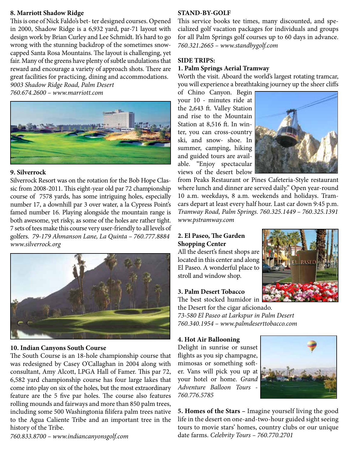## **8. Marriott Shadow Ridge**

This is one of Nick Faldo's bet- ter designed courses. Opened in 2000, Shadow Ridge is a 6,932 yard, par-71 layout with design work by Brian Curley and Lee Schmidt. It's hard to go wrong with the stunning backdrop of the sometimes snowcapped Santa Rosa Mountains. The layout is challenging, yet fair. Many of the greens have plenty of subtle undulations that reward and encourage a variety of approach shots. There are great facilities for practicing, dining and accommodations.

*9003 Shadow Ridge Road, Palm Desert 760.674.2600 – www.marriott.com*



#### **9. Silverrock**

Silverrock Resort was on the rotation for the Bob Hope Classic from 2008-2011. This eight-year old par 72 championship course of 7578 yards, has some intriguing holes, especially number 17, a downhill par 3 over water, a la Cypress Point's famed number 16. Playing alongside the mountain range is both awesome, yet risky, as some of the holes are rather tight. 7 sets of tees make this course very user-friendly to all levels of golfers. *79-179 Ahmanson Lane, La Quinta – 760.777.8884 www.silverrock.org*



#### **10. Indian Canyons South Course**

The South Course is an 18-hole championship course that was redesigned by Casey O'Callaghan in 2004 along with consultant, Amy Alcott, LPGA Hall of Famer. This par 72, 6,582 yard championship course has four large lakes that come into play on six of the holes, but the most extraordinary feature are the 5 five par holes. The course also features rolling mounds and fairways and more than 850 palm trees, including some 500 Washingtonia filifera palm trees native to the Agua Caliente Tribe and an important tree in the history of the Tribe.

*760.833.8700 – www.indiancanyonsgolf.com*

#### **STAND-BY-GOLF**

This service books tee times, many discounted, and specialized golf vacation packages for individuals and groups for all Palm Springs golf courses up to 60 days in advance. *760.321.2665 – www.standbygolf.com*

#### **SIDE TRIPS:**

## **1. Palm Springs Aerial Tramway**

Worth the visit. Aboard the world's largest rotating tramcar, you will experience a breathtaking journey up the sheer cliffs

of Chino Canyon. Begin your 10 - minutes ride at the 2,643 ft. Valley Station and rise to the Mountain Station at 8,516 ft. In winter, you can cross-country ski, and snow- shoe. In summer, camping, hiking and guided tours are available. "Enjoy spectacular views of the desert below



from Peaks Restaurant or Pines Cafeteria-Style restaurant where lunch and dinner are served daily." Open year-round 10 a.m. weekdays, 8 a.m. weekends and holidays. Tramcars depart at least every half hour. Last car down 9:45 p.m. *Tramway Road, Palm Springs. 760.325.1449 – 760.325.1391 www.pstramway.com*

## **2. El Paseo, The Garden Shopping Center**

All the desert's finest shops are located in this center and along El Paseo. A wonderful place to stroll and window shop.

#### **3. Palm Desert Tobacco**

The best stocked humidor in

the Desert for the cigar aficionado. *73-580 El Paseo at Larkspur in Palm Desert 760.340.1954 – www.palmdeserttobacco.com*

#### **4. Hot Air Ballooning**

Delight in sunrise or sunset flights as you sip champagne, mimosas or something softer. Vans will pick you up at your hotel or home. *Grand Adventure Balloon Tours - 760.776.5785*



**5. Homes of the Stars –** Imagine yourself living the good life in the desert on one-and-two-hour guided sight seeing tours to movie stars' homes, country clubs or our unique date farms. *Celebrity Tours – 760.770.2701*